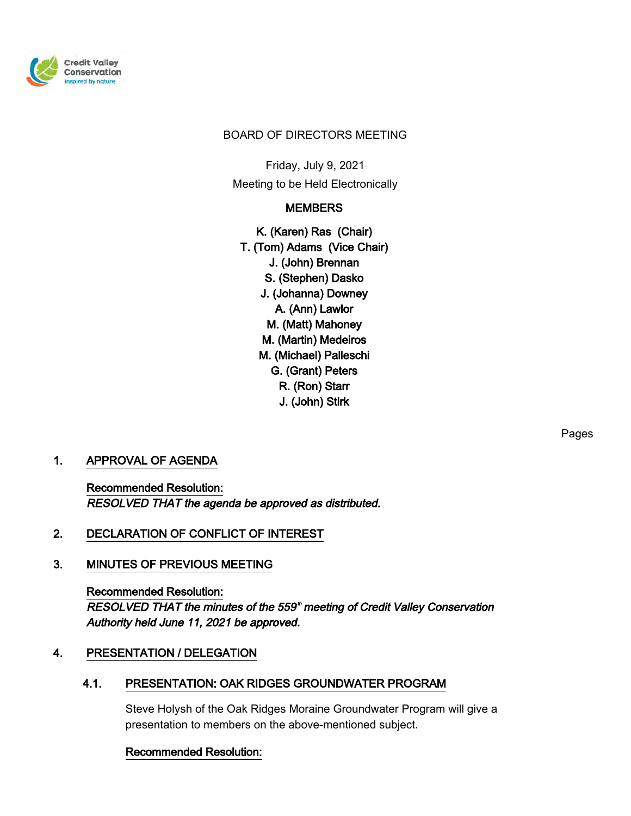

#### BOARD OF DIRECTORS MEETING

Friday, July 9, 2021 Meeting to be Held Electronically

# **MEMBERS**

K. (Karen) Ras (Chair) T. (Tom) Adams (Vice Chair) J. (John) Brennan S. (Stephen) Dasko J. (Johanna) Downey A. (Ann) Lawlor M. (Matt) Mahoney M. (Martin) Medeiros M. (Michael) Palleschi G. (Grant) Peters R. (Ron) Starr J. (John) Stirk

# 1. APPROVAL OF AGENDA

Recommended Resolution: RESOLVED THAT the agenda be approved as distributed.

# 2. DECLARATION OF CONFLICT OF INTEREST

# 3. MINUTES OF PREVIOUS MEETING

Recommended Resolution: RESOLVED THAT the minutes of the 559<sup>th</sup> meeting of Credit Valley Conservation Authority held June 11, 2021 be approved.

# 4. PRESENTATION / DELEGATION

# 4.1. PRESENTATION: OAK RIDGES GROUNDWATER PROGRAM

Steve Holysh of the Oak Ridges Moraine Groundwater Program will give a presentation to members on the above-mentioned subject.

#### Recommended Resolution:

Pages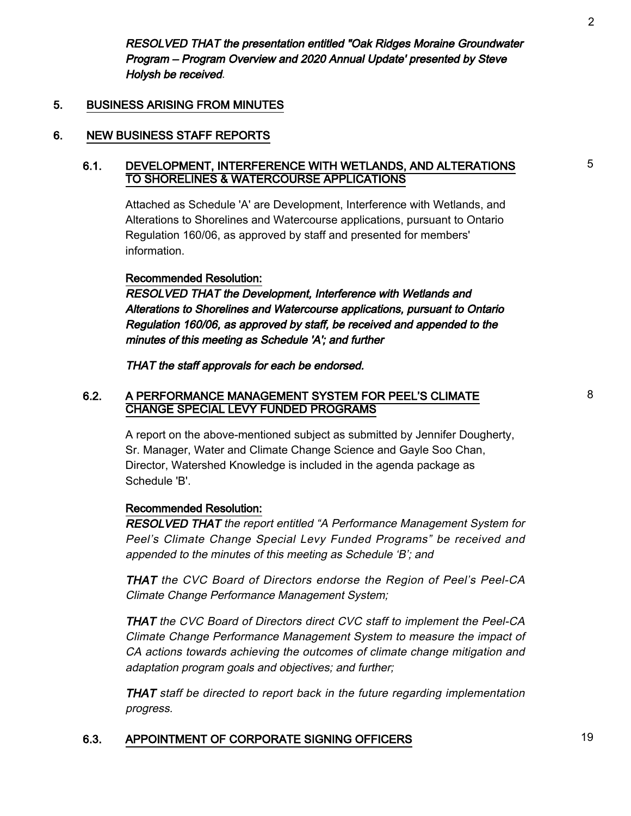RESOLVED THAT the presentation entitled "Oak Ridges Moraine Groundwater Program – Program Overview and 2020 Annual Update' presented by Steve Holysh be received.

### 5. BUSINESS ARISING FROM MINUTES

#### 6. NEW BUSINESS STAFF REPORTS

#### 6.1. DEVELOPMENT, INTERFERENCE WITH WETLANDS, AND ALTERATIONS TO SHORELINES & WATERCOURSE APPLICATIONS

Attached as Schedule 'A' are Development, Interference with Wetlands, and Alterations to Shorelines and Watercourse applications, pursuant to Ontario Regulation 160/06, as approved by staff and presented for members' information.

#### Recommended Resolution:

RESOLVED THAT the Development, Interference with Wetlands and Alterations to Shorelines and Watercourse applications, pursuant to Ontario Regulation 160/06, as approved by staff, be received and appended to the minutes of this meeting as Schedule 'A'; and further

THAT the staff approvals for each be endorsed.

#### 6.2. A PERFORMANCE MANAGEMENT SYSTEM FOR PEEL'S CLIMATE CHANGE SPECIAL LEVY FUNDED PROGRAMS

A report on the above-mentioned subject as submitted by Jennifer Dougherty, Sr. Manager, Water and Climate Change Science and Gayle Soo Chan, Director, Watershed Knowledge is included in the agenda package as Schedule 'B'.

#### Recommended Resolution:

RESOLVED THAT the report entitled "A Performance Management System for Peel's Climate Change Special Levy Funded Programs" be received and appended to the minutes of this meeting as Schedule 'B'; and

THAT the CVC Board of Directors endorse the Region of Peel's Peel-CA Climate Change Performance Management System;

THAT the CVC Board of Directors direct CVC staff to implement the Peel-CA Climate Change Performance Management System to measure the impact of CA actions towards achieving the outcomes of climate change mitigation and adaptation program goals and objectives; and further;

THAT staff be directed to report back in the future regarding implementation progress.

# 6.3. APPOINTMENT OF CORPORATE SIGNING OFFICERS 19

5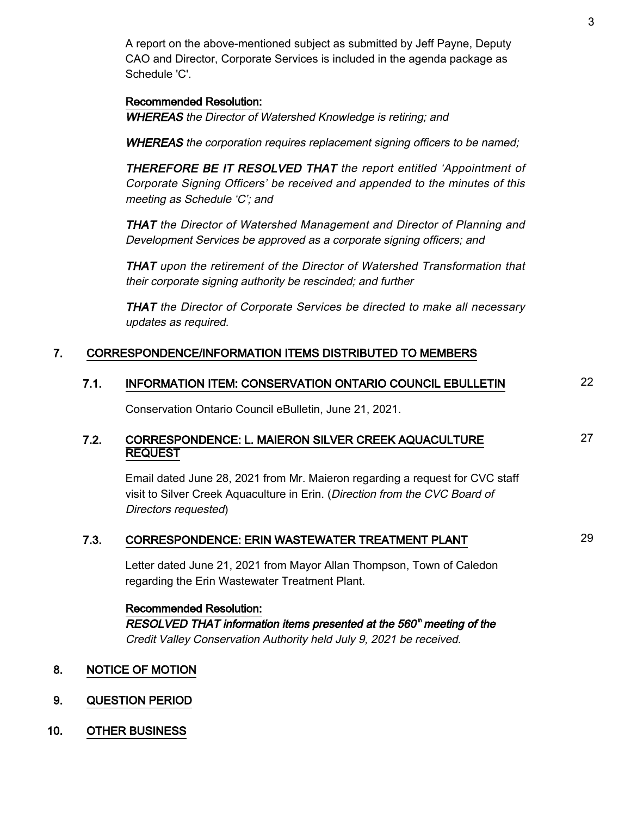A report on the above-mentioned subject as submitted by Jeff Payne, Deputy CAO and Director, Corporate Services is included in the agenda package as Schedule 'C'.

#### Recommended Resolution:

WHEREAS the Director of Watershed Knowledge is retiring; and

WHEREAS the corporation requires replacement signing officers to be named;

THEREFORE BE IT RESOLVED THAT the report entitled 'Appointment of Corporate Signing Officers' be received and appended to the minutes of this meeting as Schedule 'C'; and

THAT the Director of Watershed Management and Director of Planning and Development Services be approved as a corporate signing officers; and

THAT upon the retirement of the Director of Watershed Transformation that their corporate signing authority be rescinded; and further

THAT the Director of Corporate Services be directed to make all necessary updates as required.

### 7. CORRESPONDENCE/INFORMATION ITEMS DISTRIBUTED TO MEMBERS

# 7.1. INFORMATION ITEM: CONSERVATION ONTARIO COUNCIL EBULLETIN 22

Conservation Ontario Council eBulletin, June 21, 2021.

### 7.2. CORRESPONDENCE: L. MAIERON SILVER CREEK AQUACULTURE REQUEST

Email dated June 28, 2021 from Mr. Maieron regarding a request for CVC staff visit to Silver Creek Aquaculture in Erin. (Direction from the CVC Board of Directors requested)

# 7.3. CORRESPONDENCE: ERIN WASTEWATER TREATMENT PLANT 29

Letter dated June 21, 2021 from Mayor Allan Thompson, Town of Caledon regarding the Erin Wastewater Treatment Plant.

# Recommended Resolution: RESOLVED THAT information items presented at the 560<sup>th</sup> meeting of the Credit Valley Conservation Authority held July 9, 2021 be received.

#### 8. NOTICE OF MOTION

- 9. QUESTION PERIOD
- 10. OTHER BUSINESS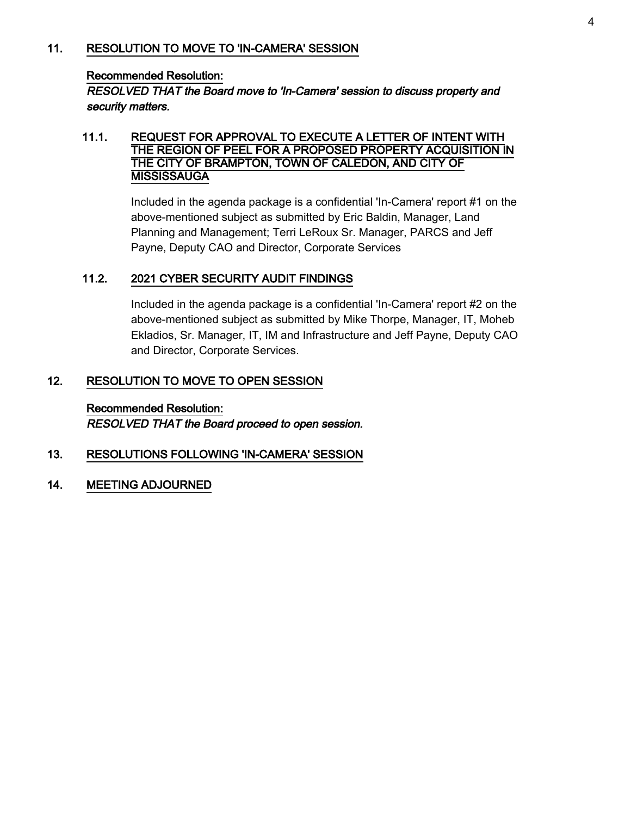#### 11. RESOLUTION TO MOVE TO 'IN-CAMERA' SESSION

#### Recommended Resolution:

RESOLVED THAT the Board move to 'In-Camera' session to discuss property and security matters.

#### 11.1. REQUEST FOR APPROVAL TO EXECUTE A LETTER OF INTENT WITH THE REGION OF PEEL FOR A PROPOSED PROPERTY ACQUISITION IN THE CITY OF BRAMPTON, TOWN OF CALEDON, AND CITY OF **MISSISSAUGA**

Included in the agenda package is a confidential 'In-Camera' report #1 on the above-mentioned subject as submitted by Eric Baldin, Manager, Land Planning and Management; Terri LeRoux Sr. Manager, PARCS and Jeff Payne, Deputy CAO and Director, Corporate Services

### 11.2. 2021 CYBER SECURITY AUDIT FINDINGS

Included in the agenda package is a confidential 'In-Camera' report #2 on the above-mentioned subject as submitted by Mike Thorpe, Manager, IT, Moheb Ekladios, Sr. Manager, IT, IM and Infrastructure and Jeff Payne, Deputy CAO and Director, Corporate Services.

### 12. RESOLUTION TO MOVE TO OPEN SESSION

# Recommended Resolution: RESOLVED THAT the Board proceed to open session.

# 13. RESOLUTIONS FOLLOWING 'IN-CAMERA' SESSION

14. MEETING ADJOURNED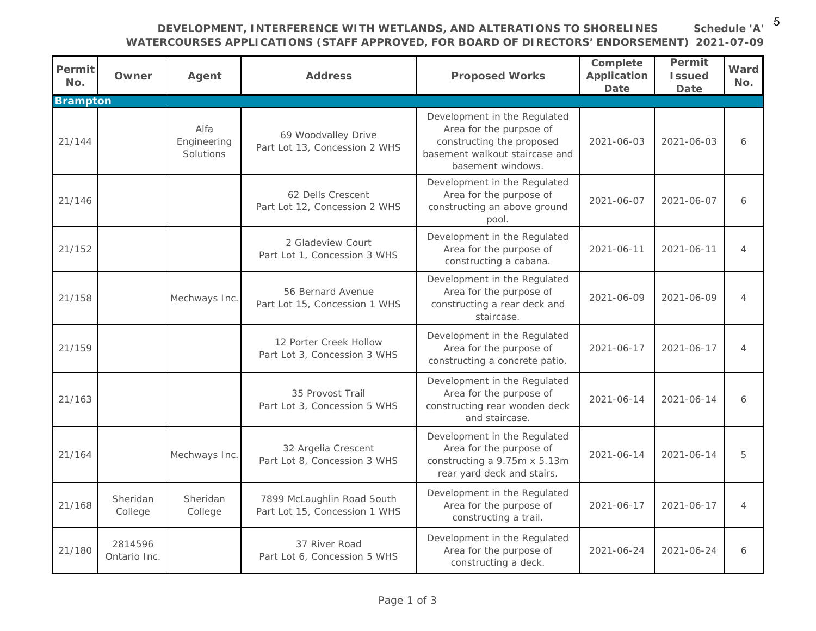**DEVELOPMENT, INTERFERENCE WITH WETLANDS, AND ALTERATIONS TO SHORELINES WATERCOURSES APPLICATIONS (STAFF APPROVED, FOR BOARD OF DIRECTORS' ENDORSEMENT) 2021-07-09 Schedule 'A'**

| Permit<br>No.   | Owner                   | Agent                            | <b>Address</b>                                              | <b>Proposed Works</b>                                                                                                                       | Complete<br><b>Application</b><br>Date | Permit<br><b>Issued</b><br>Date | Ward<br>No.    |
|-----------------|-------------------------|----------------------------------|-------------------------------------------------------------|---------------------------------------------------------------------------------------------------------------------------------------------|----------------------------------------|---------------------------------|----------------|
| <b>Brampton</b> |                         |                                  |                                                             |                                                                                                                                             |                                        |                                 |                |
| 21/144          |                         | Alfa<br>Engineering<br>Solutions | 69 Woodvalley Drive<br>Part Lot 13, Concession 2 WHS        | Development in the Regulated<br>Area for the purpsoe of<br>constructing the proposed<br>basement walkout staircase and<br>basement windows. | 2021-06-03                             | 2021-06-03                      | 6              |
| 21/146          |                         |                                  | 62 Dells Crescent<br>Part Lot 12, Concession 2 WHS          | Development in the Regulated<br>Area for the purpose of<br>constructing an above ground<br>pool.                                            | 2021-06-07                             | 2021-06-07                      | 6              |
| 21/152          |                         |                                  | 2 Gladeview Court<br>Part Lot 1, Concession 3 WHS           | Development in the Regulated<br>Area for the purpose of<br>constructing a cabana.                                                           | 2021-06-11                             | 2021-06-11                      | $\overline{4}$ |
| 21/158          |                         | Mechways Inc.                    | 56 Bernard Avenue<br>Part Lot 15, Concession 1 WHS          | Development in the Regulated<br>Area for the purpose of<br>constructing a rear deck and<br>staircase.                                       | 2021-06-09                             | 2021-06-09                      | $\overline{4}$ |
| 21/159          |                         |                                  | 12 Porter Creek Hollow<br>Part Lot 3, Concession 3 WHS      | Development in the Regulated<br>Area for the purpose of<br>constructing a concrete patio.                                                   | 2021-06-17                             | 2021-06-17                      | $\overline{4}$ |
| 21/163          |                         |                                  | 35 Provost Trail<br>Part Lot 3, Concession 5 WHS            | Development in the Regulated<br>Area for the purpose of<br>constructing rear wooden deck<br>and staircase.                                  | 2021-06-14                             | 2021-06-14                      | 6              |
| 21/164          |                         | Mechways Inc.                    | 32 Argelia Crescent<br>Part Lot 8, Concession 3 WHS         | Development in the Regulated<br>Area for the purpose of<br>constructing a 9.75m x 5.13m<br>rear yard deck and stairs.                       | 2021-06-14                             | 2021-06-14                      | 5              |
| 21/168          | Sheridan<br>College     | Sheridan<br>College              | 7899 McLaughlin Road South<br>Part Lot 15, Concession 1 WHS | Development in the Regulated<br>Area for the purpose of<br>constructing a trail.                                                            | 2021-06-17                             | 2021-06-17                      | $\overline{4}$ |
| 21/180          | 2814596<br>Ontario Inc. |                                  | 37 River Road<br>Part Lot 6, Concession 5 WHS               | Development in the Regulated<br>Area for the purpose of<br>constructing a deck.                                                             | 2021-06-24                             | 2021-06-24                      | 6              |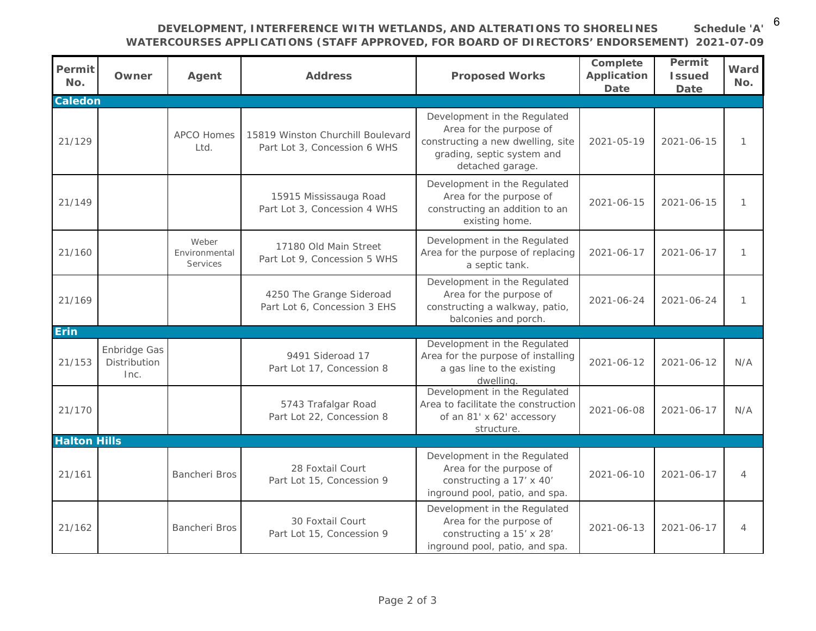**DEVELOPMENT, INTERFERENCE WITH WETLANDS, AND ALTERATIONS TO SHORELINES WATERCOURSES APPLICATIONS (STAFF APPROVED, FOR BOARD OF DIRECTORS' ENDORSEMENT) 2021-07-09 Schedule 'A'**

| Permit<br>No.       | Owner                                | Agent                              | <b>Address</b>                                                    | <b>Proposed Works</b>                                                                                                                          | Complete<br><b>Application</b><br><b>Date</b> | Permit<br><b>Issued</b><br><b>Date</b> | Ward<br>No.    |
|---------------------|--------------------------------------|------------------------------------|-------------------------------------------------------------------|------------------------------------------------------------------------------------------------------------------------------------------------|-----------------------------------------------|----------------------------------------|----------------|
| <b>Caledon</b>      |                                      |                                    |                                                                   |                                                                                                                                                |                                               |                                        |                |
| 21/129              |                                      | <b>APCO Homes</b><br>Ltd.          | 15819 Winston Churchill Boulevard<br>Part Lot 3, Concession 6 WHS | Development in the Regulated<br>Area for the purpose of<br>constructing a new dwelling, site<br>grading, septic system and<br>detached garage. | 2021-05-19                                    | 2021-06-15                             | 1              |
| 21/149              |                                      |                                    | 15915 Mississauga Road<br>Part Lot 3, Concession 4 WHS            | Development in the Regulated<br>Area for the purpose of<br>constructing an addition to an<br>existing home.                                    | 2021-06-15                                    | 2021-06-15                             | $\mathbf{1}$   |
| 21/160              |                                      | Weber<br>Environmental<br>Services | 17180 Old Main Street<br>Part Lot 9, Concession 5 WHS             | Development in the Regulated<br>Area for the purpose of replacing<br>a septic tank.                                                            | 2021-06-17                                    | 2021-06-17                             | 1              |
| 21/169              |                                      |                                    | 4250 The Grange Sideroad<br>Part Lot 6, Concession 3 EHS          | Development in the Regulated<br>Area for the purpose of<br>constructing a walkway, patio,<br>balconies and porch.                              | 2021-06-24                                    | 2021-06-24                             | $\mathbf{1}$   |
| <b>Erin</b>         |                                      |                                    |                                                                   |                                                                                                                                                |                                               |                                        |                |
| 21/153              | Enbridge Gas<br>Distribution<br>Inc. |                                    | 9491 Sideroad 17<br>Part Lot 17, Concession 8                     | Development in the Regulated<br>Area for the purpose of installing<br>a gas line to the existing<br>dwelling.                                  | 2021-06-12                                    | 2021-06-12                             | N/A            |
| 21/170              |                                      |                                    | 5743 Trafalgar Road<br>Part Lot 22, Concession 8                  | Development in the Regulated<br>Area to facilitate the construction<br>of an 81' x 62' accessory<br>structure.                                 | 2021-06-08                                    | 2021-06-17                             | N/A            |
| <b>Halton Hills</b> |                                      |                                    |                                                                   |                                                                                                                                                |                                               |                                        |                |
| 21/161              |                                      | Bancheri Bros                      | 28 Foxtail Court<br>Part Lot 15, Concession 9                     | Development in the Regulated<br>Area for the purpose of<br>constructing a 17' x 40'<br>inground pool, patio, and spa.                          | 2021-06-10                                    | 2021-06-17                             | $\overline{4}$ |
| 21/162              |                                      | Bancheri Bros                      | 30 Foxtail Court<br>Part Lot 15, Concession 9                     | Development in the Regulated<br>Area for the purpose of<br>constructing a 15' x 28'<br>inground pool, patio, and spa.                          | 2021-06-13                                    | 2021-06-17                             | $\overline{4}$ |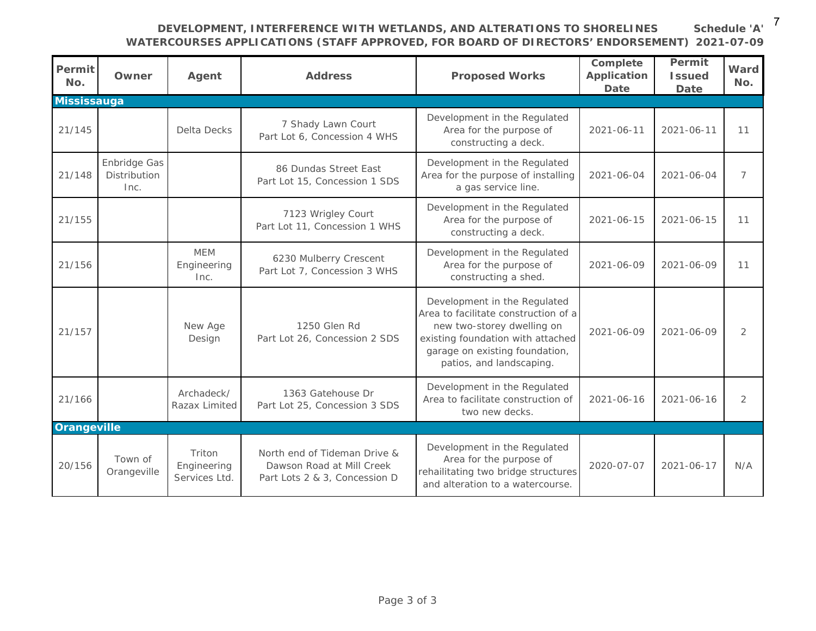#### **DEVELOPMENT, INTERFERENCE WITH WETLANDS, AND ALTERATIONS TO SHORELINES WATERCOURSES APPLICATIONS (STAFF APPROVED, FOR BOARD OF DIRECTORS' ENDORSEMENT) 2021-07-09 Schedule 'A'**

| Permit<br>No.      | Owner                                | Agent                                  | <b>Address</b>                                                                             | <b>Proposed Works</b>                                                                                                                                                                                 | Complete<br><b>Application</b><br>Date | Permit<br><b>Issued</b><br>Date | Ward<br>No.    |
|--------------------|--------------------------------------|----------------------------------------|--------------------------------------------------------------------------------------------|-------------------------------------------------------------------------------------------------------------------------------------------------------------------------------------------------------|----------------------------------------|---------------------------------|----------------|
| <b>Mississauga</b> |                                      |                                        |                                                                                            |                                                                                                                                                                                                       |                                        |                                 |                |
| 21/145             |                                      | <b>Delta Decks</b>                     | 7 Shady Lawn Court<br>Part Lot 6, Concession 4 WHS                                         | Development in the Regulated<br>Area for the purpose of<br>constructing a deck.                                                                                                                       | 2021-06-11                             | 2021-06-11                      | 11             |
| 21/148             | Enbridge Gas<br>Distribution<br>Inc. |                                        | 86 Dundas Street East<br>Part Lot 15, Concession 1 SDS                                     | Development in the Regulated<br>Area for the purpose of installing<br>a gas service line.                                                                                                             | 2021-06-04                             | 2021-06-04                      | $\overline{7}$ |
| 21/155             |                                      |                                        | 7123 Wrigley Court<br>Part Lot 11, Concession 1 WHS                                        | Development in the Regulated<br>Area for the purpose of<br>constructing a deck.                                                                                                                       | 2021-06-15                             | 2021-06-15                      | 11             |
| 21/156             |                                      | <b>MEM</b><br>Engineering<br>Inc.      | 6230 Mulberry Crescent<br>Part Lot 7, Concession 3 WHS                                     | Development in the Regulated<br>Area for the purpose of<br>constructing a shed.                                                                                                                       | 2021-06-09                             | 2021-06-09                      | 11             |
| 21/157             |                                      | New Age<br>Design                      | 1250 Glen Rd<br>Part Lot 26, Concession 2 SDS                                              | Development in the Regulated<br>Area to facilitate construction of a<br>new two-storey dwelling on<br>existing foundation with attached<br>garage on existing foundation,<br>patios, and landscaping. | 2021-06-09                             | 2021-06-09                      | 2              |
| 21/166             |                                      | Archadeck/<br>Razax Limited            | 1363 Gatehouse Dr<br>Part Lot 25, Concession 3 SDS                                         | Development in the Regulated<br>Area to facilitate construction of<br>two new decks.                                                                                                                  | 2021-06-16                             | 2021-06-16                      | 2              |
| <b>Orangeville</b> |                                      |                                        |                                                                                            |                                                                                                                                                                                                       |                                        |                                 |                |
| 20/156             | Town of<br>Orangeville               | Triton<br>Engineering<br>Services Ltd. | North end of Tideman Drive &<br>Dawson Road at Mill Creek<br>Part Lots 2 & 3, Concession D | Development in the Regulated<br>Area for the purpose of<br>rehailitating two bridge structures<br>and alteration to a watercourse.                                                                    | 2020-07-07                             | 2021-06-17                      | N/A            |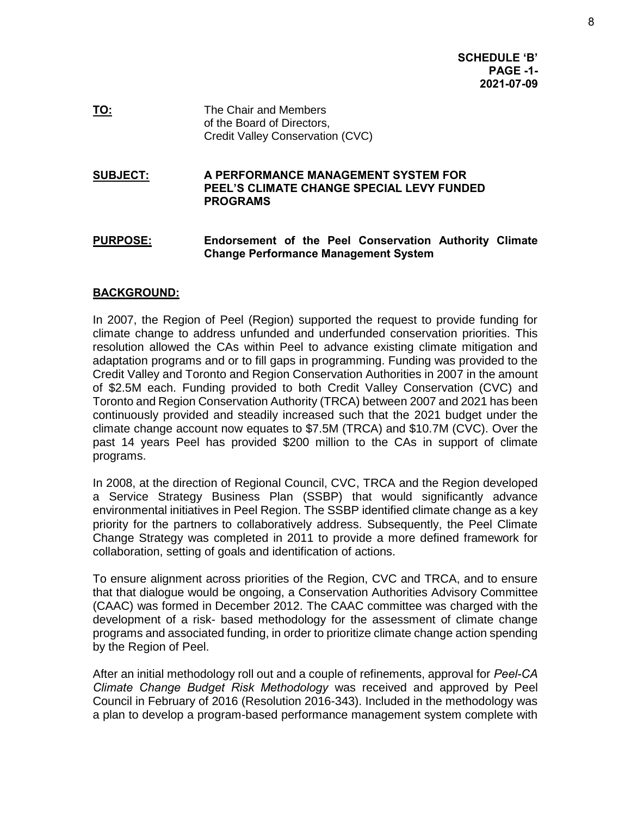**SCHEDULE 'B' PAGE -1- 2021-07-09** 

**TO:** The Chair and Members of the Board of Directors, Credit Valley Conservation (CVC)

#### **SUBJECT: A PERFORMANCE MANAGEMENT SYSTEM FOR PEEL'S CLIMATE CHANGE SPECIAL LEVY FUNDED PROGRAMS**

**PURPOSE: Endorsement of the Peel Conservation Authority Climate Change Performance Management System** 

#### **BACKGROUND:**

In 2007, the Region of Peel (Region) supported the request to provide funding for climate change to address unfunded and underfunded conservation priorities. This resolution allowed the CAs within Peel to advance existing climate mitigation and adaptation programs and or to fill gaps in programming. Funding was provided to the Credit Valley and Toronto and Region Conservation Authorities in 2007 in the amount of \$2.5M each. Funding provided to both Credit Valley Conservation (CVC) and Toronto and Region Conservation Authority (TRCA) between 2007 and 2021 has been continuously provided and steadily increased such that the 2021 budget under the climate change account now equates to \$7.5M (TRCA) and \$10.7M (CVC). Over the past 14 years Peel has provided \$200 million to the CAs in support of climate programs.

In 2008, at the direction of Regional Council, CVC, TRCA and the Region developed a Service Strategy Business Plan (SSBP) that would significantly advance environmental initiatives in Peel Region. The SSBP identified climate change as a key priority for the partners to collaboratively address. Subsequently, the Peel Climate Change Strategy was completed in 2011 to provide a more defined framework for collaboration, setting of goals and identification of actions.

To ensure alignment across priorities of the Region, CVC and TRCA, and to ensure that that dialogue would be ongoing, a Conservation Authorities Advisory Committee (CAAC) was formed in December 2012. The CAAC committee was charged with the development of a risk- based methodology for the assessment of climate change programs and associated funding, in order to prioritize climate change action spending by the Region of Peel.

After an initial methodology roll out and a couple of refinements, approval for *Peel-CA Climate Change Budget Risk Methodology* was received and approved by Peel Council in February of 2016 (Resolution 2016-343). Included in the methodology was a plan to develop a program-based performance management system complete with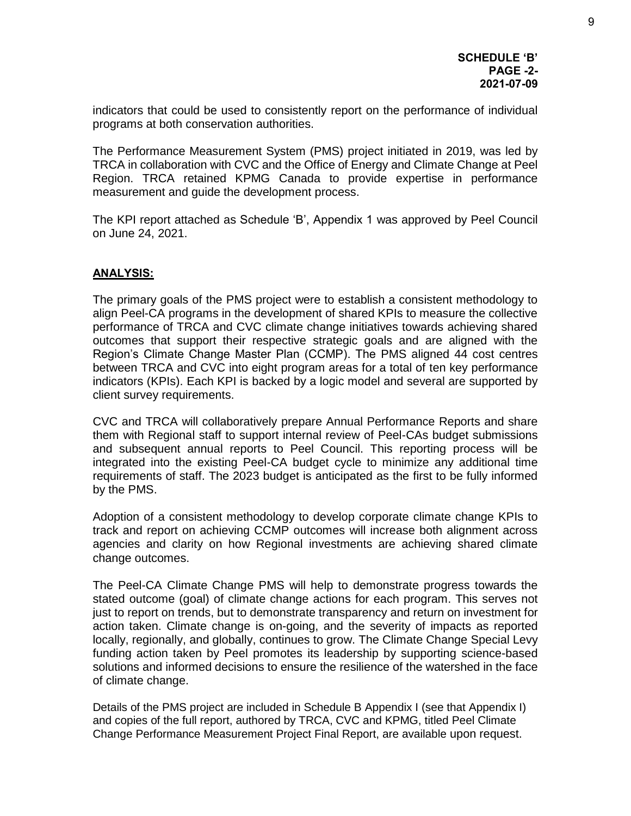indicators that could be used to consistently report on the performance of individual programs at both conservation authorities.

The Performance Measurement System (PMS) project initiated in 2019, was led by TRCA in collaboration with CVC and the Office of Energy and Climate Change at Peel Region. TRCA retained KPMG Canada to provide expertise in performance measurement and guide the development process.

The KPI report attached as Schedule 'B', Appendix 1 was approved by Peel Council on June 24, 2021.

#### **ANALYSIS:**

The primary goals of the PMS project were to establish a consistent methodology to align Peel-CA programs in the development of shared KPIs to measure the collective performance of TRCA and CVC climate change initiatives towards achieving shared outcomes that support their respective strategic goals and are aligned with the Region's Climate Change Master Plan (CCMP). The PMS aligned 44 cost centres between TRCA and CVC into eight program areas for a total of ten key performance indicators (KPIs). Each KPI is backed by a logic model and several are supported by client survey requirements.

CVC and TRCA will collaboratively prepare Annual Performance Reports and share them with Regional staff to support internal review of Peel-CAs budget submissions and subsequent annual reports to Peel Council. This reporting process will be integrated into the existing Peel-CA budget cycle to minimize any additional time requirements of staff. The 2023 budget is anticipated as the first to be fully informed by the PMS.

Adoption of a consistent methodology to develop corporate climate change KPIs to track and report on achieving CCMP outcomes will increase both alignment across agencies and clarity on how Regional investments are achieving shared climate change outcomes.

The Peel-CA Climate Change PMS will help to demonstrate progress towards the stated outcome (goal) of climate change actions for each program. This serves not just to report on trends, but to demonstrate transparency and return on investment for action taken. Climate change is on-going, and the severity of impacts as reported locally, regionally, and globally, continues to grow. The Climate Change Special Levy funding action taken by Peel promotes its leadership by supporting science-based solutions and informed decisions to ensure the resilience of the watershed in the face of climate change.

Details of the PMS project are included in Schedule B Appendix I (see that Appendix I) and copies of the full report, authored by TRCA, CVC and KPMG, titled Peel Climate Change Performance Measurement Project Final Report, are available upon request.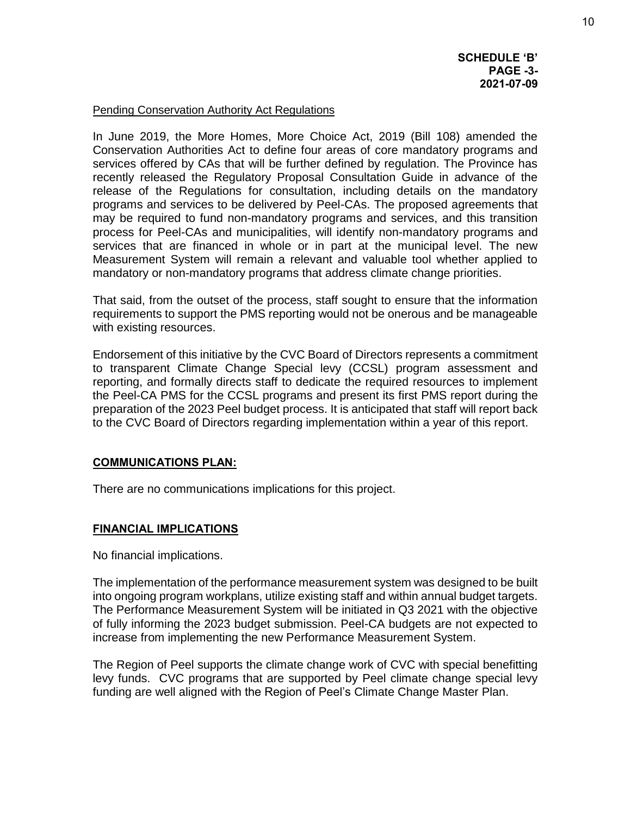**SCHEDULE 'B' PAGE -3- 2021-07-09** 

#### Pending Conservation Authority Act Regulations

In June 2019, the More Homes, More Choice Act, 2019 (Bill 108) amended the Conservation Authorities Act to define four areas of core mandatory programs and services offered by CAs that will be further defined by regulation. The Province has recently released the Regulatory Proposal Consultation Guide in advance of the release of the Regulations for consultation, including details on the mandatory programs and services to be delivered by Peel-CAs. The proposed agreements that may be required to fund non-mandatory programs and services, and this transition process for Peel-CAs and municipalities, will identify non-mandatory programs and services that are financed in whole or in part at the municipal level. The new Measurement System will remain a relevant and valuable tool whether applied to mandatory or non-mandatory programs that address climate change priorities.

That said, from the outset of the process, staff sought to ensure that the information requirements to support the PMS reporting would not be onerous and be manageable with existing resources.

Endorsement of this initiative by the CVC Board of Directors represents a commitment to transparent Climate Change Special levy (CCSL) program assessment and reporting, and formally directs staff to dedicate the required resources to implement the Peel-CA PMS for the CCSL programs and present its first PMS report during the preparation of the 2023 Peel budget process. It is anticipated that staff will report back to the CVC Board of Directors regarding implementation within a year of this report.

#### **COMMUNICATIONS PLAN:**

There are no communications implications for this project.

#### **FINANCIAL IMPLICATIONS**

No financial implications.

The implementation of the performance measurement system was designed to be built into ongoing program workplans, utilize existing staff and within annual budget targets. The Performance Measurement System will be initiated in Q3 2021 with the objective of fully informing the 2023 budget submission. Peel-CA budgets are not expected to increase from implementing the new Performance Measurement System.

The Region of Peel supports the climate change work of CVC with special benefitting levy funds. CVC programs that are supported by Peel climate change special levy funding are well aligned with the Region of Peel's Climate Change Master Plan.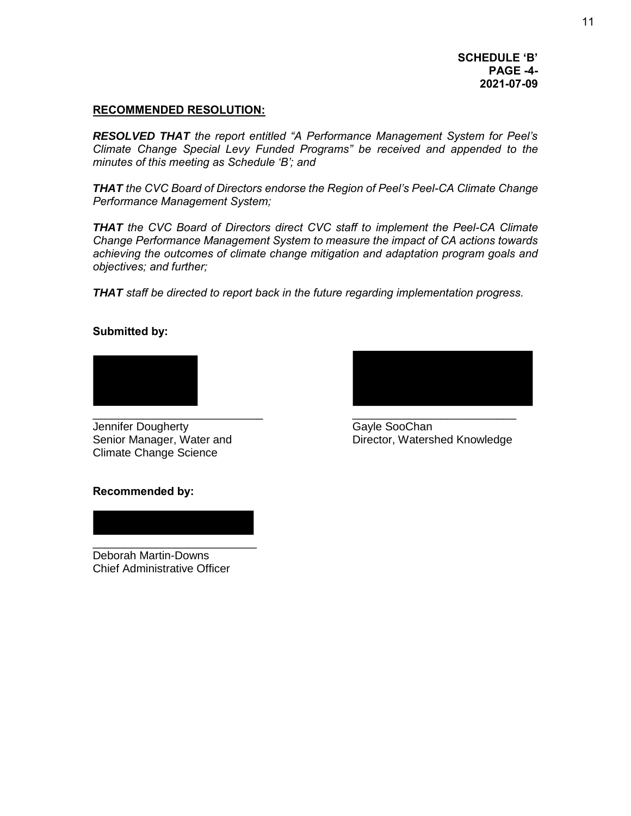#### **RECOMMENDED RESOLUTION:**

*RESOLVED THAT the report entitled "A Performance Management System for Peel's Climate Change Special Levy Funded Programs" be received and appended to the minutes of this meeting as Schedule 'B'; and* 

*THAT the CVC Board of Directors endorse the Region of Peel's Peel-CA Climate Change Performance Management System;* 

*THAT the CVC Board of Directors direct CVC staff to implement the Peel-CA Climate Change Performance Management System to measure the impact of CA actions towards achieving the outcomes of climate change mitigation and adaptation program goals and objectives; and further;* 

*THAT staff be directed to report back in the future regarding implementation progress.* 

#### **Submitted by:**



Jennifer Dougherty Gayle SooChan Climate Change Science



Senior Manager, Water and Director, Watershed Knowledge

#### **Recommended by:**

\_\_\_\_\_\_\_\_\_\_\_\_\_\_\_\_\_\_\_\_\_\_\_\_\_\_ Deborah Martin-Downs Chief Administrative Officer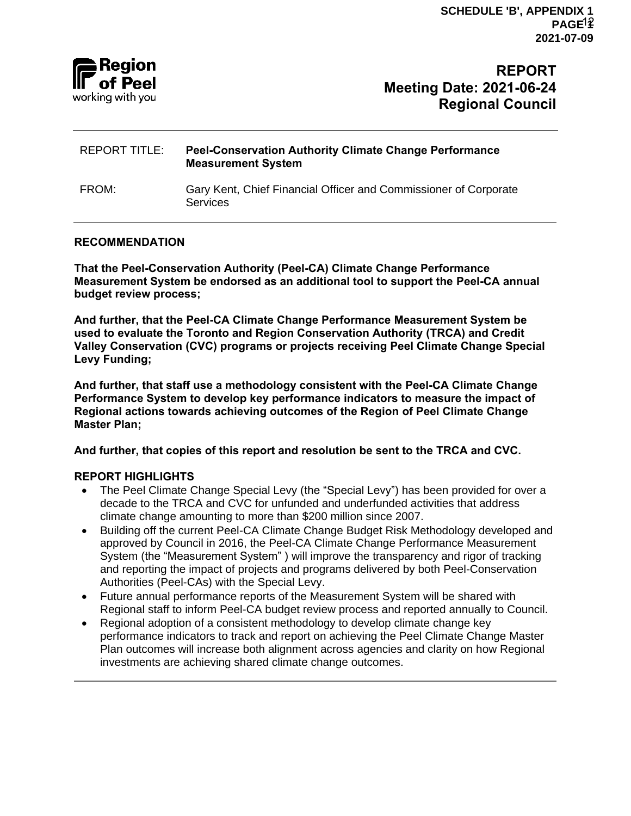# Reaion of Peel working with you

# **REPORT Meeting Date: 2021-06-24 Regional Council**

# REPORT TITLE: **Peel-Conservation Authority Climate Change Performance Measurement System** FROM: Gary Kent, Chief Financial Officer and Commissioner of Corporate **Services**

### **RECOMMENDATION**

**That the Peel-Conservation Authority (Peel-CA) Climate Change Performance Measurement System be endorsed as an additional tool to support the Peel-CA annual budget review process;**

**And further, that the Peel-CA Climate Change Performance Measurement System be used to evaluate the Toronto and Region Conservation Authority (TRCA) and Credit Valley Conservation (CVC) programs or projects receiving Peel Climate Change Special Levy Funding;**

**And further, that staff use a methodology consistent with the Peel-CA Climate Change Performance System to develop key performance indicators to measure the impact of Regional actions towards achieving outcomes of the Region of Peel Climate Change Master Plan;**

**And further, that copies of this report and resolution be sent to the TRCA and CVC.**

# **REPORT HIGHLIGHTS**

- The Peel Climate Change Special Levy (the "Special Levy") has been provided for over a decade to the TRCA and CVC for unfunded and underfunded activities that address climate change amounting to more than \$200 million since 2007.
- Building off the current Peel-CA Climate Change Budget Risk Methodology developed and approved by Council in 2016, the Peel-CA Climate Change Performance Measurement System (the "Measurement System" ) will improve the transparency and rigor of tracking and reporting the impact of projects and programs delivered by both Peel-Conservation Authorities (Peel-CAs) with the Special Levy.
- Future annual performance reports of the Measurement System will be shared with Regional staff to inform Peel-CA budget review process and reported annually to Council.
- Regional adoption of a consistent methodology to develop climate change key performance indicators to track and report on achieving the Peel Climate Change Master Plan outcomes will increase both alignment across agencies and clarity on how Regional investments are achieving shared climate change outcomes.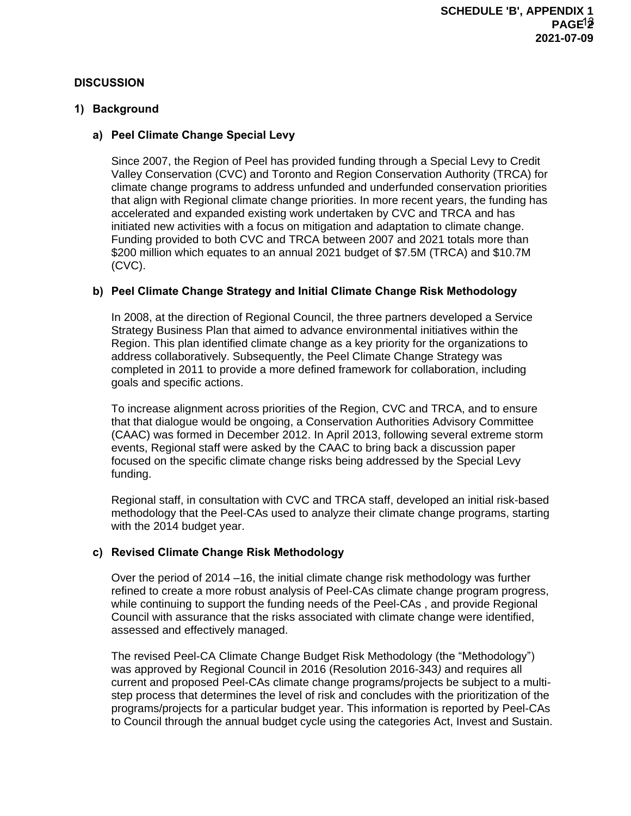#### **DISCUSSION**

#### **1) Background**

#### **a) Peel Climate Change Special Levy**

Since 2007, the Region of Peel has provided funding through a Special Levy to Credit Valley Conservation (CVC) and Toronto and Region Conservation Authority (TRCA) for climate change programs to address unfunded and underfunded conservation priorities that align with Regional climate change priorities. In more recent years, the funding has accelerated and expanded existing work undertaken by CVC and TRCA and has initiated new activities with a focus on mitigation and adaptation to climate change. Funding provided to both CVC and TRCA between 2007 and 2021 totals more than \$200 million which equates to an annual 2021 budget of \$7.5M (TRCA) and \$10.7M (CVC).

#### **b) Peel Climate Change Strategy and Initial Climate Change Risk Methodology**

In 2008, at the direction of Regional Council, the three partners developed a Service Strategy Business Plan that aimed to advance environmental initiatives within the Region. This plan identified climate change as a key priority for the organizations to address collaboratively. Subsequently, the Peel Climate Change Strategy was completed in 2011 to provide a more defined framework for collaboration, including goals and specific actions.

To increase alignment across priorities of the Region, CVC and TRCA, and to ensure that that dialogue would be ongoing, a Conservation Authorities Advisory Committee (CAAC) was formed in December 2012. In April 2013, following several extreme storm events, Regional staff were asked by the CAAC to bring back a discussion paper focused on the specific climate change risks being addressed by the Special Levy funding.

Regional staff, in consultation with CVC and TRCA staff, developed an initial risk-based methodology that the Peel-CAs used to analyze their climate change programs, starting with the 2014 budget year.

#### **c) Revised Climate Change Risk Methodology**

Over the period of 2014 –16, the initial climate change risk methodology was further refined to create a more robust analysis of Peel-CAs climate change program progress, while continuing to support the funding needs of the Peel-CAs , and provide Regional Council with assurance that the risks associated with climate change were identified, assessed and effectively managed.

The revised Peel-CA Climate Change Budget Risk Methodology (the "Methodology") was approved by Regional Council in 2016 (Resolution 2016-343*)* and requires all current and proposed Peel-CAs climate change programs/projects be subject to a multistep process that determines the level of risk and concludes with the prioritization of the programs/projects for a particular budget year. This information is reported by Peel-CAs to Council through the annual budget cycle using the categories Act, Invest and Sustain.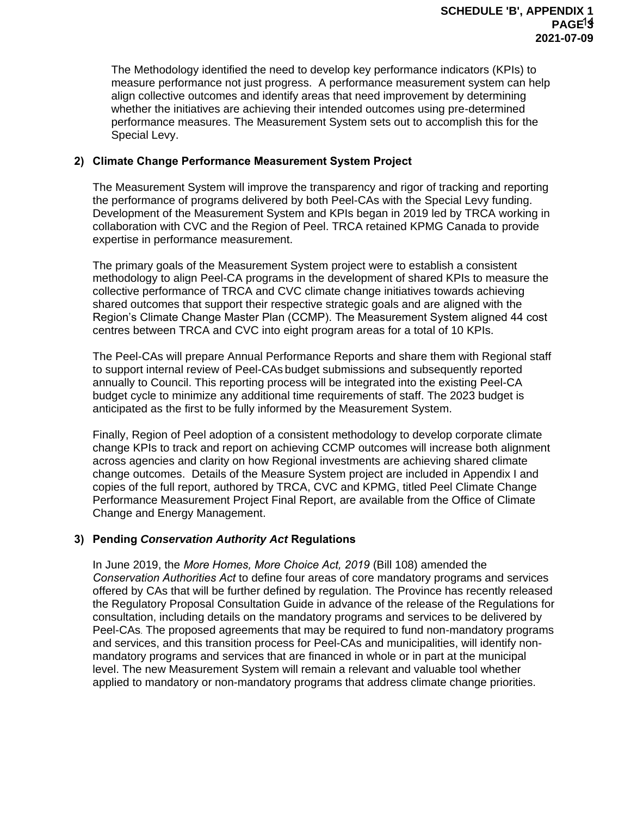The Methodology identified the need to develop key performance indicators (KPIs) to measure performance not just progress. A performance measurement system can help align collective outcomes and identify areas that need improvement by determining whether the initiatives are achieving their intended outcomes using pre-determined performance measures. The Measurement System sets out to accomplish this for the Special Levy.

#### **2) Climate Change Performance Measurement System Project**

The Measurement System will improve the transparency and rigor of tracking and reporting the performance of programs delivered by both Peel-CAs with the Special Levy funding. Development of the Measurement System and KPIs began in 2019 led by TRCA working in collaboration with CVC and the Region of Peel. TRCA retained KPMG Canada to provide expertise in performance measurement.

The primary goals of the Measurement System project were to establish a consistent methodology to align Peel-CA programs in the development of shared KPIs to measure the collective performance of TRCA and CVC climate change initiatives towards achieving shared outcomes that support their respective strategic goals and are aligned with the Region's Climate Change Master Plan (CCMP). The Measurement System aligned 44 cost centres between TRCA and CVC into eight program areas for a total of 10 KPIs.

The Peel-CAs will prepare Annual Performance Reports and share them with Regional staff to support internal review of Peel-CAs budget submissions and subsequently reported annually to Council. This reporting process will be integrated into the existing Peel-CA budget cycle to minimize any additional time requirements of staff. The 2023 budget is anticipated as the first to be fully informed by the Measurement System.

Finally, Region of Peel adoption of a consistent methodology to develop corporate climate change KPIs to track and report on achieving CCMP outcomes will increase both alignment across agencies and clarity on how Regional investments are achieving shared climate change outcomes. Details of the Measure System project are included in Appendix I and copies of the full report, authored by TRCA, CVC and KPMG, titled Peel Climate Change Performance Measurement Project Final Report, are available from the Office of Climate Change and Energy Management.

#### **3) Pending** *Conservation Authority Act* **Regulations**

In June 2019, the *More Homes, More Choice Act, 2019* (Bill 108) amended the *Conservation Authorities Act* to define four areas of core mandatory programs and services offered by CAs that will be further defined by regulation. The Province has recently released the Regulatory Proposal Consultation Guide in advance of the release of the Regulations for consultation, including details on the mandatory programs and services to be delivered by Peel-CAs. The proposed agreements that may be required to fund non-mandatory programs and services, and this transition process for Peel-CAs and municipalities, will identify nonmandatory programs and services that are financed in whole or in part at the municipal level. The new Measurement System will remain a relevant and valuable tool whether applied to mandatory or non-mandatory programs that address climate change priorities.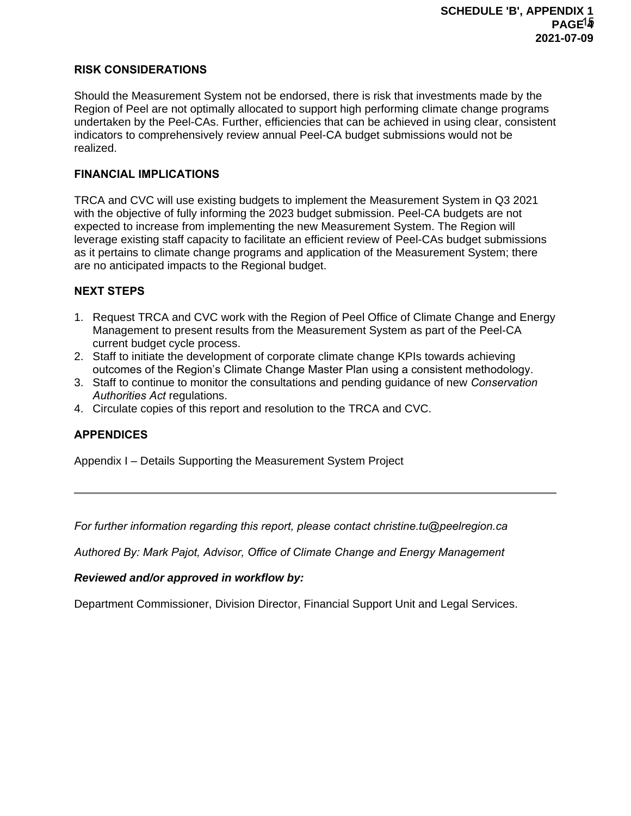#### **RISK CONSIDERATIONS**

Should the Measurement System not be endorsed, there is risk that investments made by the Region of Peel are not optimally allocated to support high performing climate change programs undertaken by the Peel-CAs. Further, efficiencies that can be achieved in using clear, consistent indicators to comprehensively review annual Peel-CA budget submissions would not be realized.

#### **FINANCIAL IMPLICATIONS**

TRCA and CVC will use existing budgets to implement the Measurement System in Q3 2021 with the objective of fully informing the 2023 budget submission. Peel-CA budgets are not expected to increase from implementing the new Measurement System. The Region will leverage existing staff capacity to facilitate an efficient review of Peel-CAs budget submissions as it pertains to climate change programs and application of the Measurement System; there are no anticipated impacts to the Regional budget.

#### **NEXT STEPS**

- 1. Request TRCA and CVC work with the Region of Peel Office of Climate Change and Energy Management to present results from the Measurement System as part of the Peel-CA current budget cycle process.
- 2. Staff to initiate the development of corporate climate change KPIs towards achieving outcomes of the Region's Climate Change Master Plan using a consistent methodology.
- 3. Staff to continue to monitor the consultations and pending guidance of new *Conservation Authorities Act* regulations.
- 4. Circulate copies of this report and resolution to the TRCA and CVC.

#### **APPENDICES**

Appendix I – Details Supporting the Measurement System Project

*For further information regarding this report, please contact christine.tu@peelregion.ca*

*Authored By: Mark Pajot, Advisor, Office of Climate Change and Energy Management* 

#### *Reviewed and/or approved in workflow by:*

Department Commissioner, Division Director, Financial Support Unit and Legal Services.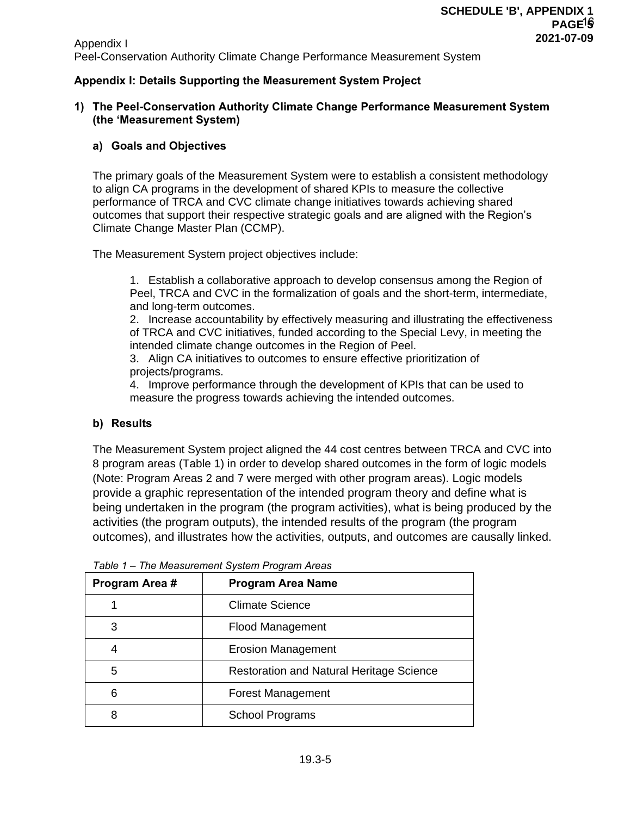Appendix I Peel-Conservation Authority Climate Change Performance Measurement System

#### **Appendix I: Details Supporting the Measurement System Project**

#### **1) The Peel-Conservation Authority Climate Change Performance Measurement System (the 'Measurement System)**

#### **a) Goals and Objectives**

The primary goals of the Measurement System were to establish a consistent methodology to align CA programs in the development of shared KPIs to measure the collective performance of TRCA and CVC climate change initiatives towards achieving shared outcomes that support their respective strategic goals and are aligned with the Region's Climate Change Master Plan (CCMP).

The Measurement System project objectives include:

1. Establish a collaborative approach to develop consensus among the Region of Peel, TRCA and CVC in the formalization of goals and the short-term, intermediate, and long-term outcomes.

2. Increase accountability by effectively measuring and illustrating the effectiveness of TRCA and CVC initiatives, funded according to the Special Levy, in meeting the intended climate change outcomes in the Region of Peel.

3. Align CA initiatives to outcomes to ensure effective prioritization of projects/programs.

4. Improve performance through the development of KPIs that can be used to measure the progress towards achieving the intended outcomes.

#### **b) Results**

The Measurement System project aligned the 44 cost centres between TRCA and CVC into 8 program areas (Table 1) in order to develop shared outcomes in the form of logic models (Note: Program Areas 2 and 7 were merged with other program areas). Logic models provide a graphic representation of the intended program theory and define what is being undertaken in the program (the program activities), what is being produced by the activities (the program outputs), the intended results of the program (the program outcomes), and illustrates how the activities, outputs, and outcomes are causally linked.

| Program Area # | <b>Program Area Name</b>                        |
|----------------|-------------------------------------------------|
|                | <b>Climate Science</b>                          |
| 3              | <b>Flood Management</b>                         |
| 4              | <b>Erosion Management</b>                       |
| 5              | <b>Restoration and Natural Heritage Science</b> |
| 6              | <b>Forest Management</b>                        |
| 8              | <b>School Programs</b>                          |

*Table 1 – The Measurement System Program Areas*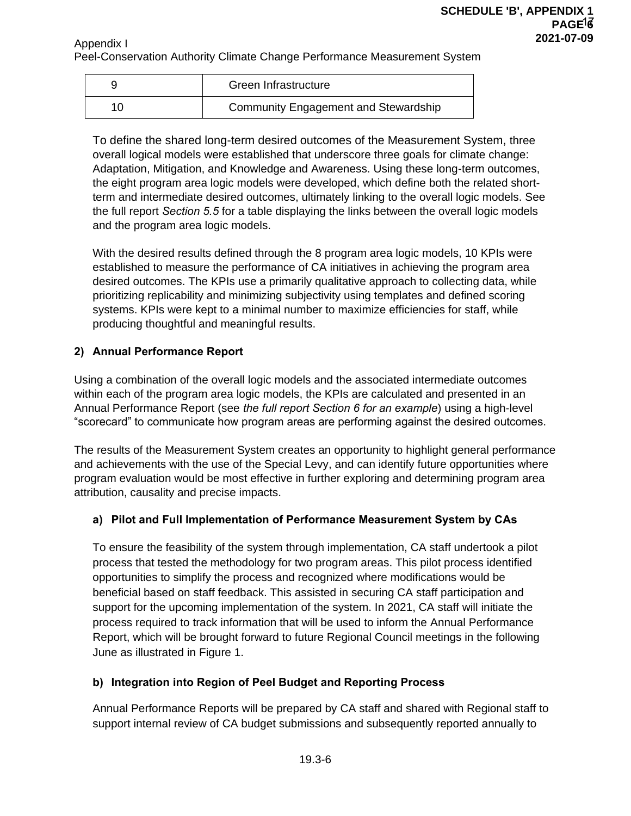Appendix I Peel-Conservation Authority Climate Change Performance Measurement System

|    | Green Infrastructure                        |
|----|---------------------------------------------|
| 10 | <b>Community Engagement and Stewardship</b> |

To define the shared long-term desired outcomes of the Measurement System, three overall logical models were established that underscore three goals for climate change: Adaptation, Mitigation, and Knowledge and Awareness. Using these long-term outcomes, the eight program area logic models were developed, which define both the related shortterm and intermediate desired outcomes, ultimately linking to the overall logic models. See the full report *Section 5.5* for a table displaying the links between the overall logic models and the program area logic models.

With the desired results defined through the 8 program area logic models, 10 KPIs were established to measure the performance of CA initiatives in achieving the program area desired outcomes. The KPIs use a primarily qualitative approach to collecting data, while prioritizing replicability and minimizing subjectivity using templates and defined scoring systems. KPIs were kept to a minimal number to maximize efficiencies for staff, while producing thoughtful and meaningful results.

# **2) Annual Performance Report**

Using a combination of the overall logic models and the associated intermediate outcomes within each of the program area logic models, the KPIs are calculated and presented in an Annual Performance Report (see *the full report Section 6 for an example*) using a high-level "scorecard" to communicate how program areas are performing against the desired outcomes.

The results of the Measurement System creates an opportunity to highlight general performance and achievements with the use of the Special Levy, and can identify future opportunities where program evaluation would be most effective in further exploring and determining program area attribution, causality and precise impacts.

# **a) Pilot and Full Implementation of Performance Measurement System by CAs**

To ensure the feasibility of the system through implementation, CA staff undertook a pilot process that tested the methodology for two program areas. This pilot process identified opportunities to simplify the process and recognized where modifications would be beneficial based on staff feedback. This assisted in securing CA staff participation and support for the upcoming implementation of the system. In 2021, CA staff will initiate the process required to track information that will be used to inform the Annual Performance Report, which will be brought forward to future Regional Council meetings in the following June as illustrated in Figure 1.

# **b) Integration into Region of Peel Budget and Reporting Process**

Annual Performance Reports will be prepared by CA staff and shared with Regional staff to support internal review of CA budget submissions and subsequently reported annually to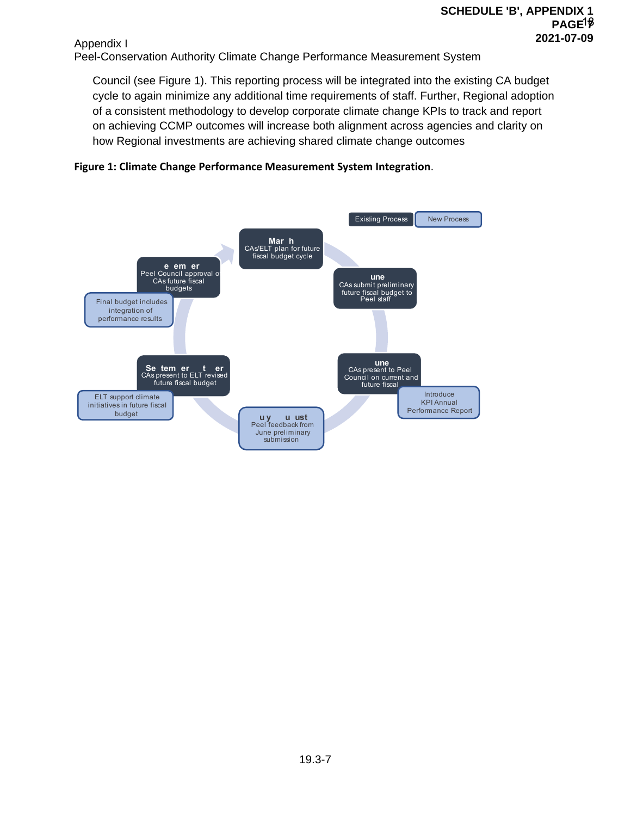Appendix I Peel-Conservation Authority Climate Change Performance Measurement System

Council (see Figure 1). This reporting process will be integrated into the existing CA budget cycle to again minimize any additional time requirements of staff. Further, Regional adoption of a consistent methodology to develop corporate climate change KPIs to track and report on achieving CCMP outcomes will increase both alignment across agencies and clarity on how Regional investments are achieving shared climate change outcomes



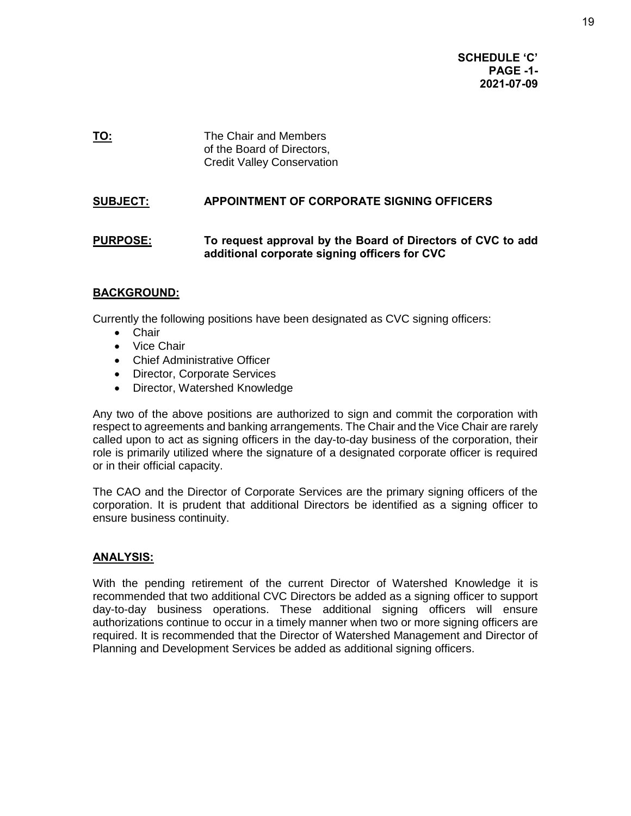**SCHEDULE 'C' PAGE -1- 2021-07-09** 

**TO:** The Chair and Members of the Board of Directors, Credit Valley Conservation

# **SUBJECT: APPOINTMENT OF CORPORATE SIGNING OFFICERS**

### **PURPOSE: To request approval by the Board of Directors of CVC to add additional corporate signing officers for CVC**

#### **BACKGROUND:**

Currently the following positions have been designated as CVC signing officers:

- Chair
- Vice Chair
- Chief Administrative Officer
- Director, Corporate Services
- Director, Watershed Knowledge

Any two of the above positions are authorized to sign and commit the corporation with respect to agreements and banking arrangements. The Chair and the Vice Chair are rarely called upon to act as signing officers in the day-to-day business of the corporation, their role is primarily utilized where the signature of a designated corporate officer is required or in their official capacity.

The CAO and the Director of Corporate Services are the primary signing officers of the corporation. It is prudent that additional Directors be identified as a signing officer to ensure business continuity.

#### **ANALYSIS:**

With the pending retirement of the current Director of Watershed Knowledge it is recommended that two additional CVC Directors be added as a signing officer to support day-to-day business operations. These additional signing officers will ensure authorizations continue to occur in a timely manner when two or more signing officers are required. It is recommended that the Director of Watershed Management and Director of Planning and Development Services be added as additional signing officers.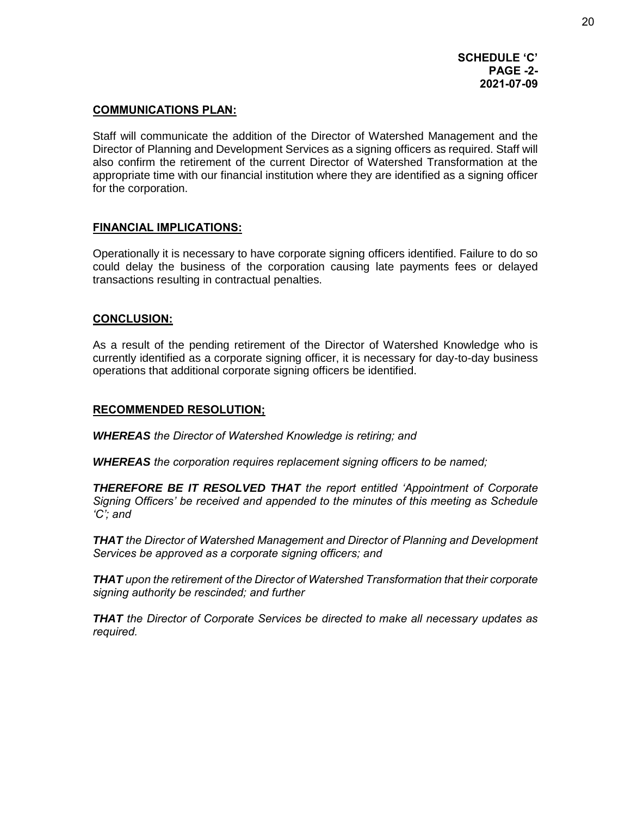#### **COMMUNICATIONS PLAN:**

Staff will communicate the addition of the Director of Watershed Management and the Director of Planning and Development Services as a signing officers as required. Staff will also confirm the retirement of the current Director of Watershed Transformation at the appropriate time with our financial institution where they are identified as a signing officer for the corporation.

#### **FINANCIAL IMPLICATIONS:**

Operationally it is necessary to have corporate signing officers identified. Failure to do so could delay the business of the corporation causing late payments fees or delayed transactions resulting in contractual penalties.

#### **CONCLUSION:**

As a result of the pending retirement of the Director of Watershed Knowledge who is currently identified as a corporate signing officer, it is necessary for day-to-day business operations that additional corporate signing officers be identified.

#### **RECOMMENDED RESOLUTION;**

*WHEREAS the Director of Watershed Knowledge is retiring; and* 

*WHEREAS the corporation requires replacement signing officers to be named;*

*THEREFORE BE IT RESOLVED THAT the report entitled 'Appointment of Corporate Signing Officers' be received and appended to the minutes of this meeting as Schedule 'C'; and* 

*THAT the Director of Watershed Management and Director of Planning and Development Services be approved as a corporate signing officers; and* 

*THAT upon the retirement of the Director of Watershed Transformation that their corporate signing authority be rescinded; and further* 

*THAT the Director of Corporate Services be directed to make all necessary updates as required.*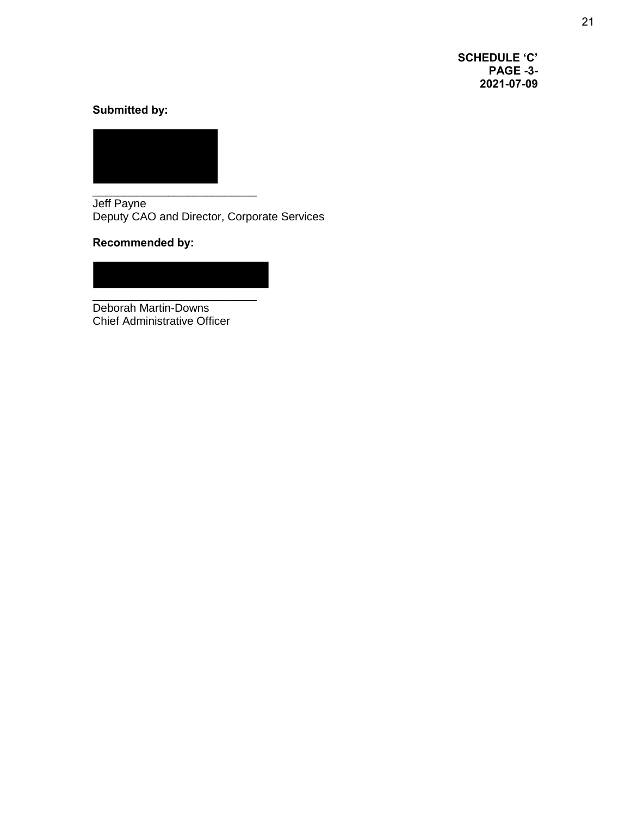**SCHEDULE 'C' PAGE -3- 2021-07-09** 

# **Submitted by:**



Jeff Payne Deputy CAO and Director, Corporate Services

**Recommended by:** 

\_\_\_\_\_\_\_\_\_\_\_\_\_\_\_\_\_\_\_\_\_\_\_\_\_\_ Deborah Martin-Downs Chief Administrative Officer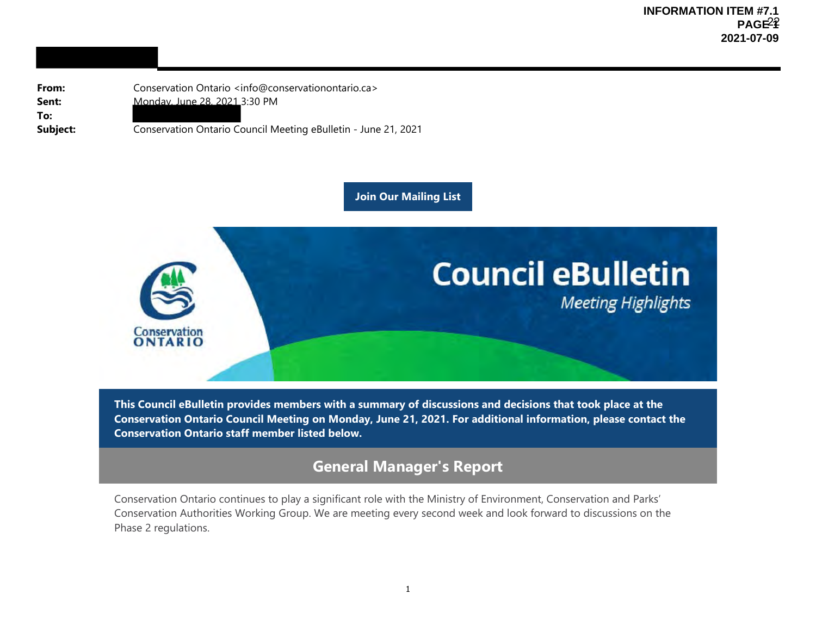**From:Sent:To:**

Conservation Ontario <info@conservationontario.ca> Monday, June 28, 2021 3:30 PM

**Subject:** Conservation Ontario Council Meeting eBulletin - June 21, 2021

**Join Our Mailing List**



**This Council eBulletin provides members with a summary of discussions and decisions that took place at the Conservation Ontario Council Meeting on Monday, June 21, 2021. For additional information, please contact the Conservation Ontario staff member listed below.**

# **General Manager's Report**

Conservation Ontario continues to play a significant role with the Ministry of Environment, Conservation and Parks' Conservation Authorities Working Group. We are meeting every second week and look forward to discussions on the Phase 2 regulations.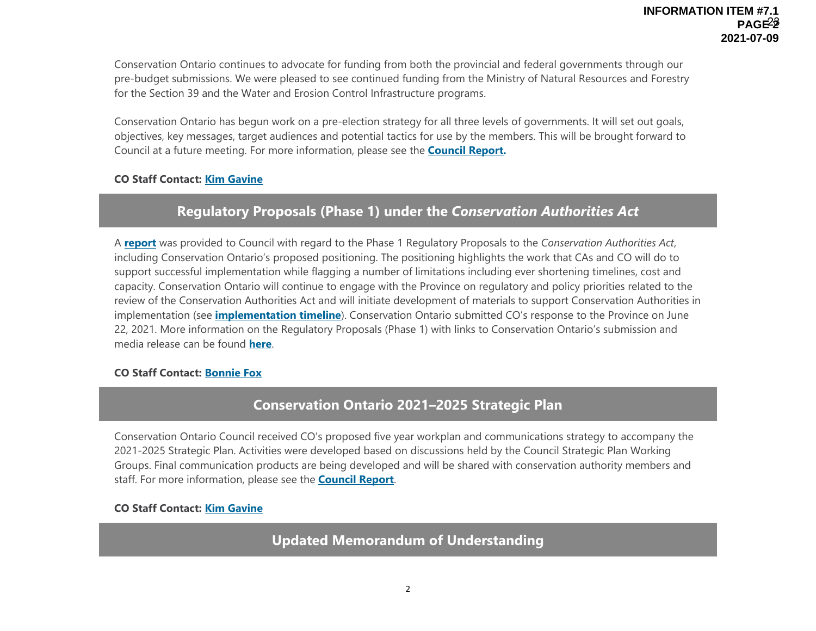Conservation Ontario continues to advocate for funding from both the provincial and federal governments through our pre-budget submissions. We were pleased to see continued funding from the Ministry of Natural Resources and Forestry for the Section 39 and the Water and Erosion Control Infrastructure programs.

Conservation Ontario has begun work on a pre-election strategy for all three levels of governments. It will set out goals, objectives, key messages, target audiences and potential tactics for use by the members. This will be brought forward to Council at a future meeting. For more information, please see the **Council Report.** 

### **CO Staff Contact: Kim Gavine**

# **Regulatory Proposals (Phase 1) under the** *Conservation Authorities Act*

A **report** was provided to Council with regard to the Phase 1 Regulatory Proposals to the *Conservation Authorities Act*, including Conservation Ontario's proposed positioning. The positioning highlights the work that CAs and CO will do to support successful implementation while flagging a number of limitations including ever shortening timelines, cost and capacity. Conservation Ontario will continue to engage with the Province on regulatory and policy priorities related to the review of the Conservation Authorities Act and will initiate development of materials to support Conservation Authorities in implementation (see **implementation timeline**). Conservation Ontario submitted CO's response to the Province on June 22, 2021. More information on the Regulatory Proposals (Phase 1) with links to Conservation Ontario's submission and media release can be found **here**.

### **CO Staff Contact: Bonnie Fox**

# **Conservation Ontario 2021–2025 Strategic Plan**

Conservation Ontario Council received CO's proposed five year workplan and communications strategy to accompany the 2021-2025 Strategic Plan. Activities were developed based on discussions held by the Council Strategic Plan Working Groups. Final communication products are being developed and will be shared with conservation authority members and staff. For more information, please see the **Council Report**.

### **CO Staff Contact: Kim Gavine**

**Updated Memorandum of Understanding**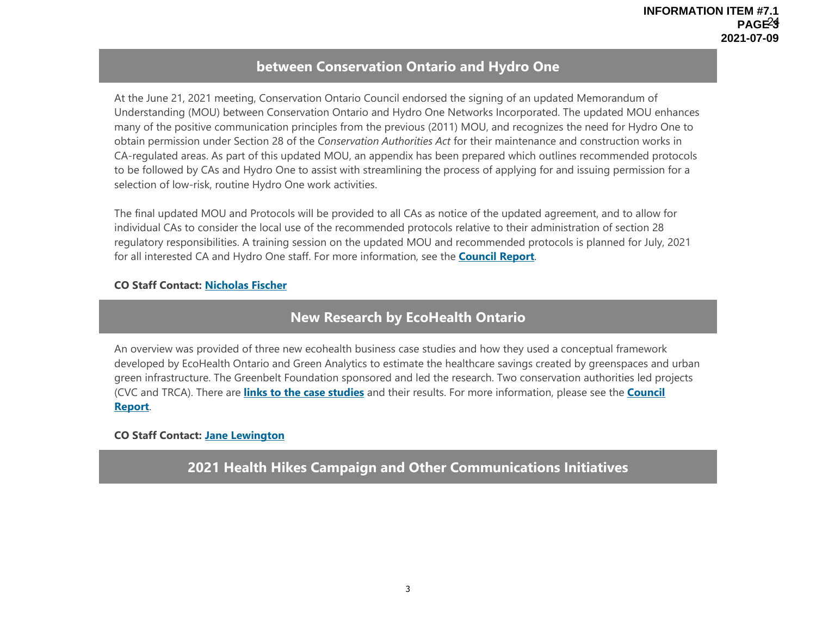# **between Conservation Ontario and Hydro One**

At the June 21, 2021 meeting, Conservation Ontario Council endorsed the signing of an updated Memorandum of Understanding (MOU) between Conservation Ontario and Hydro One Networks Incorporated. The updated MOU enhances many of the positive communication principles from the previous (2011) MOU, and recognizes the need for Hydro One to obtain permission under Section 28 of the *Conservation Authorities Act* for their maintenance and construction works in CA-regulated areas. As part of this updated MOU, an appendix has been prepared which outlines recommended protocols to be followed by CAs and Hydro One to assist with streamlining the process of applying for and issuing permission for a selection of low-risk, routine Hydro One work activities.

The final updated MOU and Protocols will be provided to all CAs as notice of the updated agreement, and to allow for individual CAs to consider the local use of the recommended protocols relative to their administration of section 28 regulatory responsibilities. A training session on the updated MOU and recommended protocols is planned for July, 2021 for all interested CA and Hydro One staff. For more information, see the **Council Report**.

### **CO Staff Contact: Nicholas Fischer**

# **New Research by EcoHealth Ontario**

An overview was provided of three new ecohealth business case studies and how they used a conceptual framework developed by EcoHealth Ontario and Green Analytics to estimate the healthcare savings created by greenspaces and urban green infrastructure. The Greenbelt Foundation sponsored and led the research. Two conservation authorities led projects (CVC and TRCA). There are **links to the case studies** and their results. For more information, please see the **Council Report**.

### **CO Staff Contact: Jane Lewington**

**2021 Health Hikes Campaign and Other Communications Initiatives**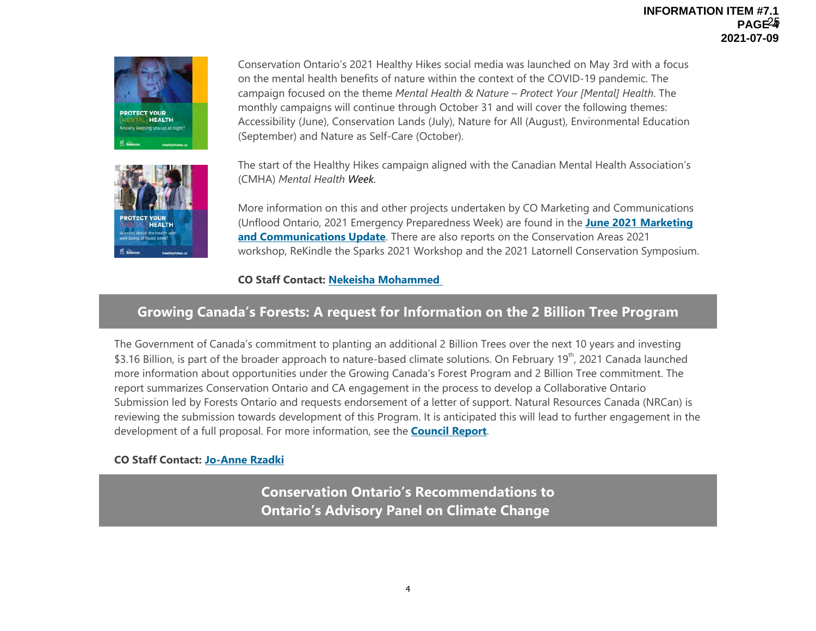#### **INFORMATION ITEM #7.1 PAGE 4** 25**2021-07-09**



Conservation Ontario's 2021 Healthy Hikes social media was launched on May 3rd with a focus on the mental health benefits of nature within the context of the COVID-19 pandemic. The campaign focused on the theme *Mental Health & Nature – Protect Your [Mental] Health*. The monthly campaigns will continue through October 31 and will cover the following themes: Accessibility (June), Conservation Lands (July), Nature for All (August), Environmental Education (September) and Nature as Self-Care (October).

The start of the Healthy Hikes campaign aligned with the Canadian Mental Health Association's (CMHA) *Mental Health Week.*

More information on this and other projects undertaken by CO Marketing and Communications (Unflood Ontario, 2021 Emergency Preparedness Week) are found in the **June 2021 Marketing and Communications Update**. There are also reports on the Conservation Areas 2021 workshop, ReKindle the Sparks 2021 Workshop and the 2021 Latornell Conservation Symposium.

### **CO Staff Contact: Nekeisha Mohammed**

# **Growing Canada's Forests: A request for Information on the 2 Billion Tree Program**

The Government of Canada's commitment to planting an additional 2 Billion Trees over the next 10 years and investing \$3.16 Billion, is part of the broader approach to nature-based climate solutions. On February 19<sup>th</sup>, 2021 Canada launched more information about opportunities under the Growing Canada's Forest Program and 2 Billion Tree commitment. The report summarizes Conservation Ontario and CA engagement in the process to develop a Collaborative Ontario Submission led by Forests Ontario and requests endorsement of a letter of support. Natural Resources Canada (NRCan) is reviewing the submission towards development of this Program. It is anticipated this will lead to further engagement in the development of a full proposal. For more information, see the **Council Report**.

#### **CO Staff Contact: Jo-Anne Rzadki**

**Conservation Ontario's Recommendations to Ontario's Advisory Panel on Climate Change**

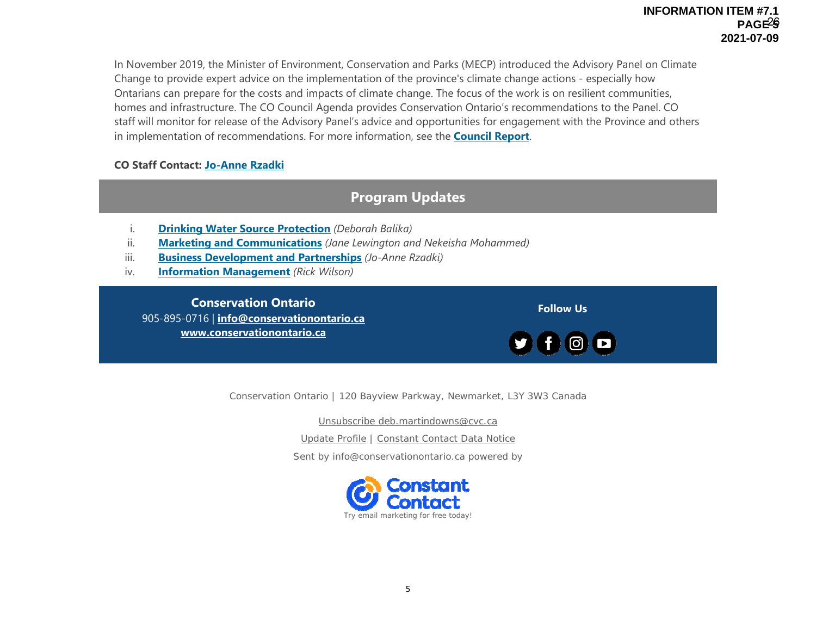In November 2019, the Minister of Environment, Conservation and Parks (MECP) introduced the Advisory Panel on Climate Change to provide expert advice on the implementation of the province's climate change actions - especially how Ontarians can prepare for the costs and impacts of climate change. The focus of the work is on resilient communities, homes and infrastructure. The CO Council Agenda provides Conservation Ontario's recommendations to the Panel. CO staff will monitor for release of the Advisory Panel's advice and opportunities for engagement with the Province and others in implementation of recommendations. For more information, see the **Council Report**.

### **CO Staff Contact: Jo-Anne Rzadki**

# **Program Updates**

- i.**Drinking Water Source Protection** *(Deborah Balika)*
- ii.**Marketing and Communications** *(Jane Lewington and Nekeisha Mohammed)*
- iii.**Business Development and Partnerships** *(Jo-Anne Rzadki)*
- iv.**Information Management** *(Rick Wilson)*

**Conservation Ontario**905-895-0716 | **info@conservationontario.ca www.conservationontario.ca**

Conservation Ontario | 120 Bayview Parkway, Newmarket, L3Y 3W3 Canada

**Follow Us**

Unsubscribe deb.martindowns@cvc.ca

Update Profile | Constant Contact Data Notice

Sent by info@conservationontario.ca powered by

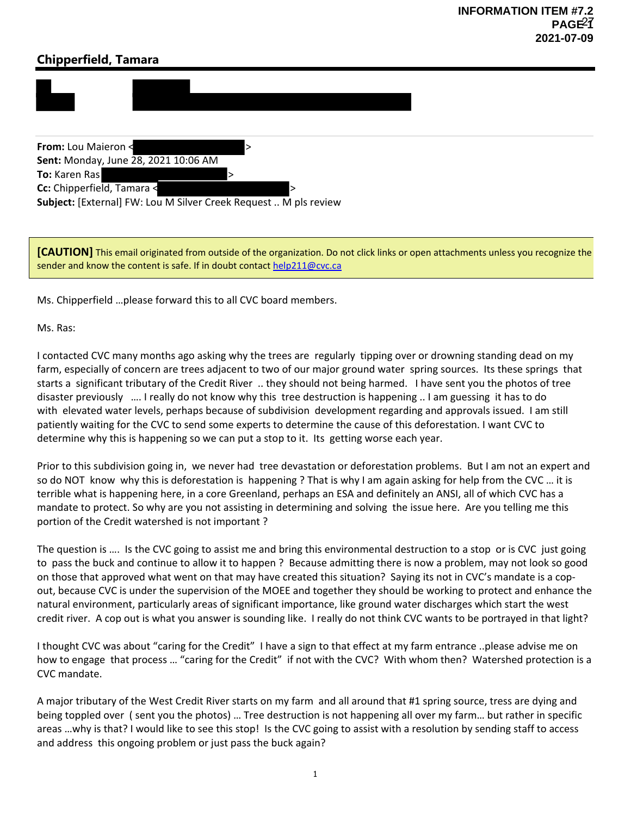# **Chipperfield, Tamara**



**From:** Lou Maieron < > **Sent:** Monday, June 28, 2021 10:06 AM **To:** Karen Ras **Cc:** Chipperfield, Tamara < **Subject:** [External] FW: Lou M Silver Creek Request .. M pls review

**[CAUTION]** This email originated from outside of the organization. Do not click links or open attachments unless you recognize the sender and know the content is safe. If in doubt contact help211@cvc.ca

Ms. Chipperfield …please forward this to all CVC board members.

Ms. Ras:

I contacted CVC many months ago asking why the trees are regularly tipping over or drowning standing dead on my farm, especially of concern are trees adjacent to two of our major ground water spring sources. Its these springs that starts a significant tributary of the Credit River .. they should not being harmed. I have sent you the photos of tree disaster previously …. I really do not know why this tree destruction is happening .. I am guessing it has to do with elevated water levels, perhaps because of subdivision development regarding and approvals issued. I am still patiently waiting for the CVC to send some experts to determine the cause of this deforestation. I want CVC to determine why this is happening so we can put a stop to it. Its getting worse each year.

Prior to this subdivision going in, we never had tree devastation or deforestation problems. But I am not an expert and so do NOT know why this is deforestation is happening ? That is why I am again asking for help from the CVC ... it is terrible what is happening here, in a core Greenland, perhaps an ESA and definitely an ANSI, all of which CVC has a mandate to protect. So why are you not assisting in determining and solving the issue here. Are you telling me this portion of the Credit watershed is not important ?

The question is …. Is the CVC going to assist me and bring this environmental destruction to a stop or is CVC just going to pass the buck and continue to allow it to happen ? Because admitting there is now a problem, may not look so good on those that approved what went on that may have created this situation? Saying its not in CVC's mandate is a cop‐ out, because CVC is under the supervision of the MOEE and together they should be working to protect and enhance the natural environment, particularly areas of significant importance, like ground water discharges which start the west credit river. A cop out is what you answer is sounding like. I really do not think CVC wants to be portrayed in that light?

I thought CVC was about "caring for the Credit" I have a sign to that effect at my farm entrance ..please advise me on how to engage that process … "caring for the Credit" if not with the CVC? With whom then? Watershed protection is a CVC mandate.

A major tributary of the West Credit River starts on my farm and all around that #1 spring source, tress are dying and being toppled over ( sent you the photos) … Tree destruction is not happening all over my farm… but rather in specific areas …why is that? I would like to see this stop! Is the CVC going to assist with a resolution by sending staff to access and address this ongoing problem or just pass the buck again?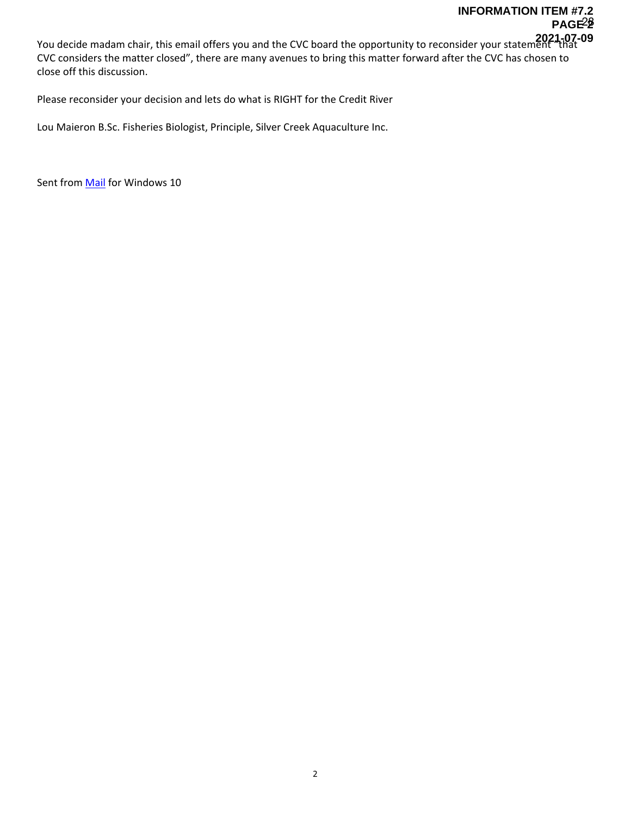You decide madam chair, this email offers you and the CVC board the opportunity to reconsider your statement "that **2021-07-09** CVC considers the matter closed", there are many avenues to bring this matter forward after the CVC has chosen to close off this discussion.

Please reconsider your decision and lets do what is RIGHT for the Credit River

Lou Maieron B.Sc. Fisheries Biologist, Principle, Silver Creek Aquaculture Inc.

Sent from **Mail** for Windows 10